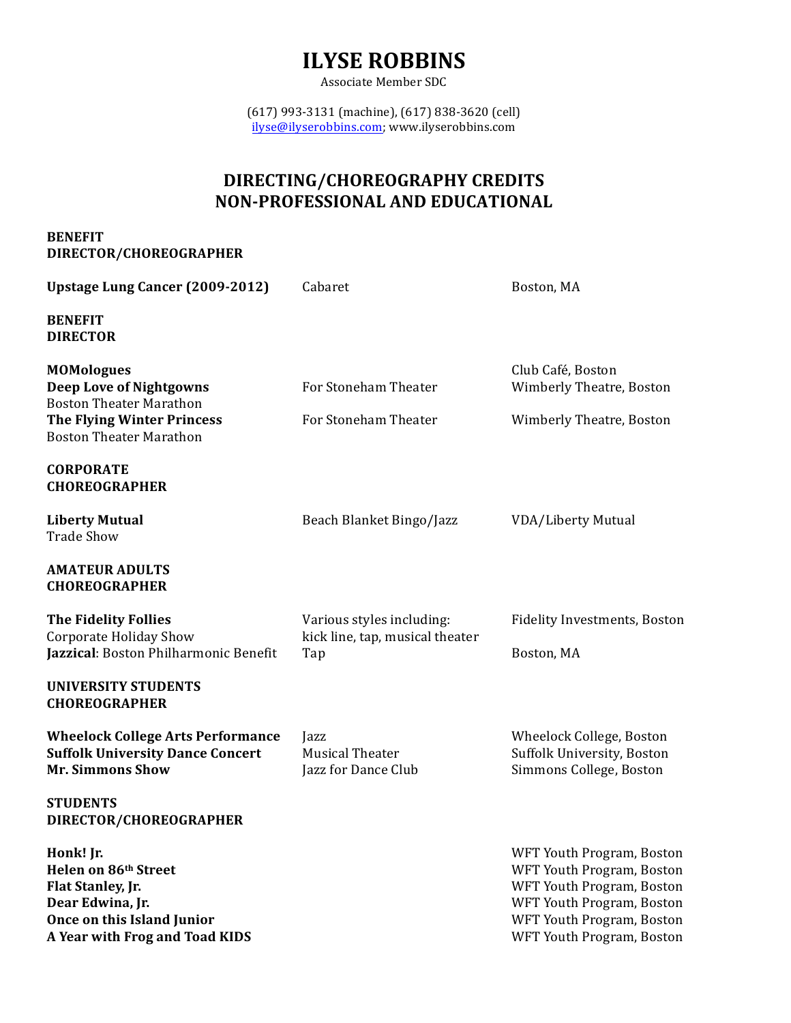# **ILYSE ROBBINS**

Associate Member SDC

(617) 993-3131 (machine), (617) 838-3620 (cell) ilyse@ilyserobbins.com; www.ilyserobbins.com

### **DIRECTING/CHOREOGRAPHY CREDITS NON-PROFESSIONAL AND EDUCATIONAL**

#### **BENEFIT DIRECTOR/CHOREOGRAPHER**

| <b>Upstage Lung Cancer (2009-2012)</b>                                                                                                     | Cabaret                                                      | Boston, MA                                                                                                                                                                 |
|--------------------------------------------------------------------------------------------------------------------------------------------|--------------------------------------------------------------|----------------------------------------------------------------------------------------------------------------------------------------------------------------------------|
| <b>BENEFIT</b><br><b>DIRECTOR</b>                                                                                                          |                                                              |                                                                                                                                                                            |
| <b>MOMologues</b><br><b>Deep Love of Nightgowns</b><br><b>Boston Theater Marathon</b>                                                      | For Stoneham Theater                                         | Club Café, Boston<br>Wimberly Theatre, Boston                                                                                                                              |
| <b>The Flying Winter Princess</b><br><b>Boston Theater Marathon</b>                                                                        | For Stoneham Theater                                         | Wimberly Theatre, Boston                                                                                                                                                   |
| <b>CORPORATE</b><br><b>CHOREOGRAPHER</b>                                                                                                   |                                                              |                                                                                                                                                                            |
| <b>Liberty Mutual</b><br><b>Trade Show</b>                                                                                                 | Beach Blanket Bingo/Jazz                                     | <b>VDA/Liberty Mutual</b>                                                                                                                                                  |
| <b>AMATEUR ADULTS</b><br><b>CHOREOGRAPHER</b>                                                                                              |                                                              |                                                                                                                                                                            |
| <b>The Fidelity Follies</b><br><b>Corporate Holiday Show</b>                                                                               | Various styles including:<br>kick line, tap, musical theater | <b>Fidelity Investments, Boston</b>                                                                                                                                        |
| Jazzical: Boston Philharmonic Benefit                                                                                                      | Tap                                                          | Boston, MA                                                                                                                                                                 |
| <b>UNIVERSITY STUDENTS</b><br><b>CHOREOGRAPHER</b>                                                                                         |                                                              |                                                                                                                                                                            |
| <b>Wheelock College Arts Performance</b><br><b>Suffolk University Dance Concert</b><br><b>Mr. Simmons Show</b>                             | Jazz<br><b>Musical Theater</b><br>Jazz for Dance Club        | Wheelock College, Boston<br>Suffolk University, Boston<br>Simmons College, Boston                                                                                          |
| <b>STUDENTS</b><br>DIRECTOR/CHOREOGRAPHER                                                                                                  |                                                              |                                                                                                                                                                            |
| Honk! Jr.<br>Helen on 86th Street<br>Flat Stanley, Jr.<br>Dear Edwina, Jr.<br>Once on this Island Junior<br>A Year with Frog and Toad KIDS |                                                              | WFT Youth Program, Boston<br>WFT Youth Program, Boston<br>WFT Youth Program, Boston<br>WFT Youth Program, Boston<br>WFT Youth Program, Boston<br>WFT Youth Program, Boston |